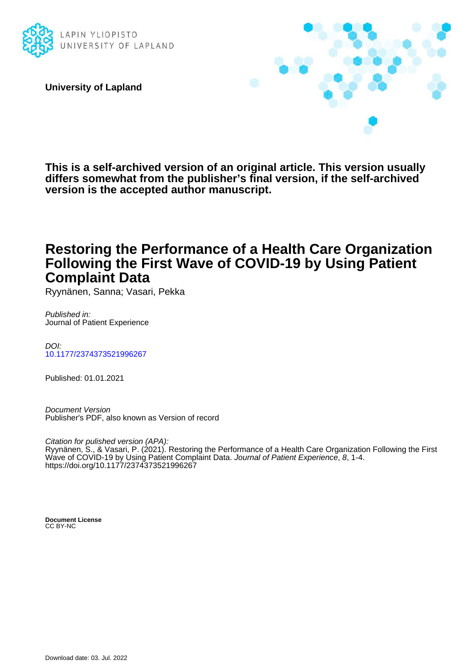

**University of Lapland**



**This is a self-archived version of an original article. This version usually differs somewhat from the publisher's final version, if the self-archived version is the accepted author manuscript.**

## **Restoring the Performance of a Health Care Organization Following the First Wave of COVID-19 by Using Patient Complaint Data**

Ryynänen, Sanna; Vasari, Pekka

Published in: Journal of Patient Experience

DOI: [10.1177/2374373521996267](https://doi.org/10.1177/2374373521996267)

Published: 01.01.2021

Document Version Publisher's PDF, also known as Version of record

Citation for pulished version (APA): Ryynänen, S., & Vasari, P. (2021). Restoring the Performance of a Health Care Organization Following the First Wave of COVID-19 by Using Patient Complaint Data. Journal of Patient Experience, 8, 1-4. <https://doi.org/10.1177/2374373521996267>

**Document License** CC BY-NC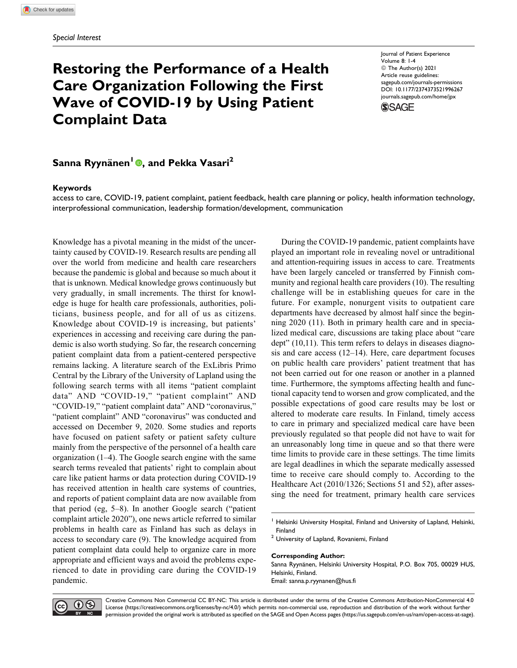# **Restoring the Performance of a Health Care Organization Following the First Wave of COVID-19 by Using Patient Complaint Data**

Journal of Patient Experience Volume 8: 1-4 © The Author(s) 2021 Article reuse guidelines: [sagepub.com/journals-permissions](https://sagepub.com/journals-permissions) [DOI: 10.1177/2374373521996267](https://doi.org/10.1177/2374373521996267) [journals.sagepub.com/home/jpx](http://journals.sagepub.com/home/jpx) **SSAGE** 



### **Keywords**

access to care, COVID-19, patient complaint, patient feedback, health care planning or policy, health information technology, interprofessional communication, leadership formation/development, communication

Knowledge has a pivotal meaning in the midst of the uncertainty caused by COVID-19. Research results are pending all over the world from medicine and health care researchers because the pandemic is global and because so much about it that is unknown. Medical knowledge grows continuously but very gradually, in small increments. The thirst for knowledge is huge for health care professionals, authorities, politicians, business people, and for all of us as citizens. Knowledge about COVID-19 is increasing, but patients' experiences in accessing and receiving care during the pandemic is also worth studying. So far, the research concerning patient complaint data from a patient-centered perspective remains lacking. A literature search of the ExLibris Primo Central by the Library of the University of Lapland using the following search terms with all items "patient complaint data" AND "COVID-19," "patient complaint" AND "COVID-19," "patient complaint data" AND "coronavirus," "patient complaint" AND "coronavirus" was conducted and accessed on December 9, 2020. Some studies and reports have focused on patient safety or patient safety culture mainly from the perspective of the personnel of a health care organization (1–4). The Google search engine with the same search terms revealed that patients' right to complain about care like patient harms or data protection during COVID-19 has received attention in health care systems of countries, and reports of patient complaint data are now available from that period (eg, 5–8). In another Google search ("patient complaint article 2020"), one news article referred to similar problems in health care as Finland has such as delays in access to secondary care (9). The knowledge acquired from patient complaint data could help to organize care in more appropriate and efficient ways and avoid the problems experienced to date in providing care during the COVID-19 pandemic.

During the COVID-19 pandemic, patient complaints have played an important role in revealing novel or untraditional and attention-requiring issues in access to care. Treatments have been largely canceled or transferred by Finnish community and regional health care providers (10). The resulting challenge will be in establishing queues for care in the future. For example, nonurgent visits to outpatient care departments have decreased by almost half since the beginning 2020 (11). Both in primary health care and in specialized medical care, discussions are taking place about "care dept" (10,11). This term refers to delays in diseases diagnosis and care access (12–14). Here, care department focuses on public health care providers' patient treatment that has not been carried out for one reason or another in a planned time. Furthermore, the symptoms affecting health and functional capacity tend to worsen and grow complicated, and the possible expectations of good care results may be lost or altered to moderate care results. In Finland, timely access to care in primary and specialized medical care have been previously regulated so that people did not have to wait for an unreasonably long time in queue and so that there were time limits to provide care in these settings. The time limits are legal deadlines in which the separate medically assessed time to receive care should comply to. According to the Healthcare Act (2010/1326; Sections 51 and 52), after assessing the need for treatment, primary health care services

#### **Corresponding Author:**

Sanna Ryynänen, Helsinki University Hospital, P.O. Box 705, 00029 HUS, Helsinki, Finland. Email: [sanna.p.ryynanen@hus.fi](mailto:sanna.p.ryynanen@hus.fi)



Creative Commons Non Commercial CC BY-NC: This article is distributed under the terms of the Creative Commons Attribution-NonCommercial 4.0 License [\(https://creativecommons.org/licenses/by-nc/4.0/](https://creativecommons.org/licenses/by-nc/4.0/)) which permits non-commercial use, reproduction and distribution of the work without further permission provided the original work is attributed as specified on the SAGE and Open Access pages ([https://us.sagepub.com/en-us/nam/open-access-at-sage\)](https://us.sagepub.com/en-us/nam/open-access-at-sage).

 $<sup>1</sup>$  Helsinki University Hospital, Finland and University of Lapland, Helsinki,</sup> Finland

<sup>&</sup>lt;sup>2</sup> University of Lapland, Rovaniemi, Finland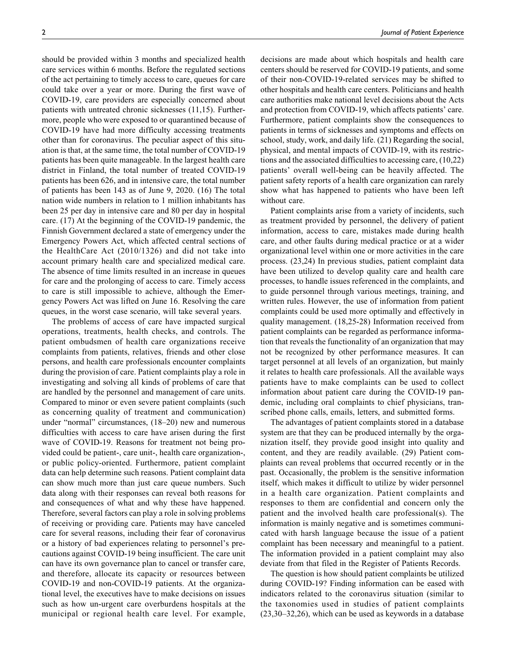should be provided within 3 months and specialized health care services within 6 months. Before the regulated sections of the act pertaining to timely access to care, queues for care could take over a year or more. During the first wave of COVID-19, care providers are especially concerned about patients with untreated chronic sicknesses (11,15). Furthermore, people who were exposed to or quarantined because of COVID-19 have had more difficulty accessing treatments other than for coronavirus. The peculiar aspect of this situation is that, at the same time, the total number of COVID-19 patients has been quite manageable. In the largest health care district in Finland, the total number of treated COVID-19 patients has been 626, and in intensive care, the total number of patients has been 143 as of June 9, 2020. (16) The total nation wide numbers in relation to 1 million inhabitants has been 25 per day in intensive care and 80 per day in hospital care. (17) At the beginning of the COVID-19 pandemic, the Finnish Government declared a state of emergency under the Emergency Powers Act, which affected central sections of the HealthCare Act (2010/1326) and did not take into account primary health care and specialized medical care. The absence of time limits resulted in an increase in queues for care and the prolonging of access to care. Timely access to care is still impossible to achieve, although the Emergency Powers Act was lifted on June 16. Resolving the care queues, in the worst case scenario, will take several years.

The problems of access of care have impacted surgical operations, treatments, health checks, and controls. The patient ombudsmen of health care organizations receive complaints from patients, relatives, friends and other close persons, and health care professionals encounter complaints during the provision of care. Patient complaints play a role in investigating and solving all kinds of problems of care that are handled by the personnel and management of care units. Compared to minor or even severe patient complaints (such as concerning quality of treatment and communication) under "normal" circumstances, (18–20) new and numerous difficulties with access to care have arisen during the first wave of COVID-19. Reasons for treatment not being provided could be patient-, care unit-, health care organization-, or public policy-oriented. Furthermore, patient complaint data can help determine such reasons. Patient complaint data can show much more than just care queue numbers. Such data along with their responses can reveal both reasons for and consequences of what and why these have happened. Therefore, several factors can play a role in solving problems of receiving or providing care. Patients may have canceled care for several reasons, including their fear of coronavirus or a history of bad experiences relating to personnel's precautions against COVID-19 being insufficient. The care unit can have its own governance plan to cancel or transfer care, and therefore, allocate its capacity or resources between COVID-19 and non-COVID-19 patients. At the organizational level, the executives have to make decisions on issues such as how un-urgent care overburdens hospitals at the municipal or regional health care level. For example, decisions are made about which hospitals and health care centers should be reserved for COVID-19 patients, and some of their non-COVID-19-related services may be shifted to other hospitals and health care centers. Politicians and health care authorities make national level decisions about the Acts and protection from COVID-19, which affects patients' care. Furthermore, patient complaints show the consequences to patients in terms of sicknesses and symptoms and effects on school, study, work, and daily life. (21) Regarding the social, physical, and mental impacts of COVID-19, with its restrictions and the associated difficulties to accessing care, (10,22) patients' overall well-being can be heavily affected. The patient safety reports of a health care organization can rarely show what has happened to patients who have been left without care.

Patient complaints arise from a variety of incidents, such as treatment provided by personnel, the delivery of patient information, access to care, mistakes made during health care, and other faults during medical practice or at a wider organizational level within one or more activities in the care process. (23,24) In previous studies, patient complaint data have been utilized to develop quality care and health care processes, to handle issues referenced in the complaints, and to guide personnel through various meetings, training, and written rules. However, the use of information from patient complaints could be used more optimally and effectively in quality management. (18,25-28) Information received from patient complaints can be regarded as performance information that reveals the functionality of an organization that may not be recognized by other performance measures. It can target personnel at all levels of an organization, but mainly it relates to health care professionals. All the available ways patients have to make complaints can be used to collect information about patient care during the COVID-19 pandemic, including oral complaints to chief physicians, transcribed phone calls, emails, letters, and submitted forms.

The advantages of patient complaints stored in a database system are that they can be produced internally by the organization itself, they provide good insight into quality and content, and they are readily available. (29) Patient complaints can reveal problems that occurred recently or in the past. Occasionally, the problem is the sensitive information itself, which makes it difficult to utilize by wider personnel in a health care organization. Patient complaints and responses to them are confidential and concern only the patient and the involved health care professional(s). The information is mainly negative and is sometimes communicated with harsh language because the issue of a patient complaint has been necessary and meaningful to a patient. The information provided in a patient complaint may also deviate from that filed in the Register of Patients Records.

The question is how should patient complaints be utilized during COVID-19? Finding information can be eased with indicators related to the coronavirus situation (similar to the taxonomies used in studies of patient complaints (23,30–32,26), which can be used as keywords in a database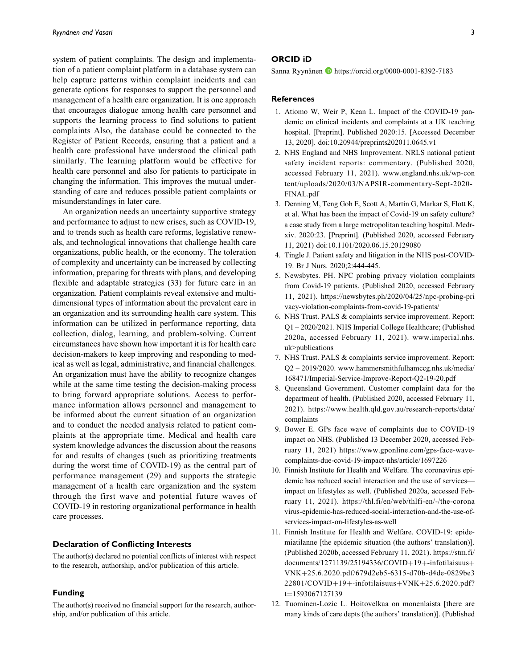system of patient complaints. The design and implementation of a patient complaint platform in a database system can help capture patterns within complaint incidents and can generate options for responses to support the personnel and management of a health care organization. It is one approach that encourages dialogue among health care personnel and supports the learning process to find solutions to patient complaints Also, the database could be connected to the Register of Patient Records, ensuring that a patient and a health care professional have understood the clinical path similarly. The learning platform would be effective for health care personnel and also for patients to participate in changing the information. This improves the mutual understanding of care and reduces possible patient complaints or misunderstandings in later care.

An organization needs an uncertainty supportive strategy and performance to adjust to new crises, such as COVID-19, and to trends such as health care reforms, legislative renewals, and technological innovations that challenge health care organizations, public health, or the economy. The toleration of complexity and uncertainty can be increased by collecting information, preparing for threats with plans, and developing flexible and adaptable strategies (33) for future care in an organization. Patient complaints reveal extensive and multidimensional types of information about the prevalent care in an organization and its surrounding health care system. This information can be utilized in performance reporting, data collection, dialog, learning, and problem-solving. Current circumstances have shown how important it is for health care decision-makers to keep improving and responding to medical as well as legal, administrative, and financial challenges. An organization must have the ability to recognize changes while at the same time testing the decision-making process to bring forward appropriate solutions. Access to performance information allows personnel and management to be informed about the current situation of an organization and to conduct the needed analysis related to patient complaints at the appropriate time. Medical and health care system knowledge advances the discussion about the reasons for and results of changes (such as prioritizing treatments during the worst time of COVID-19) as the central part of performance management (29) and supports the strategic management of a health care organization and the system through the first wave and potential future waves of COVID-19 in restoring organizational performance in health care processes.

#### **Declaration of Conflicting Interests**

The author(s) declared no potential conflicts of interest with respect to the research, authorship, and/or publication of this article.

#### **Funding**

The author(s) received no financial support for the research, authorship, and/or publication of this article.

#### **ORCID iD**

Sanna Ryynänen D<https://orcid.org/0000-0001-8392-7183>

#### **References**

- 1. Atiomo W, Weir P, Kean L. Impact of the COVID-19 pandemic on clinical incidents and complaints at a UK teaching hospital. [Preprint]. Published 2020:15. [Accessed December 13, 2020]. doi:10.20944/preprints202011.0645.v1
- 2. NHS England and NHS Improvement. NRLS national patient safety incident reports: commentary. (Published 2020, accessed February 11, 2021). [www.england.nhs.uk/wp-con](http://www.england.nhs.uk/wp-content/uploads/2020/03/NAPSIR-commentary-Sept-2020-FINAL.pdf) [tent/uploads/2020/03/NAPSIR-commentary-Sept-2020-](http://www.england.nhs.uk/wp-content/uploads/2020/03/NAPSIR-commentary-Sept-2020-FINAL.pdf) [FINAL.pdf](http://www.england.nhs.uk/wp-content/uploads/2020/03/NAPSIR-commentary-Sept-2020-FINAL.pdf)
- 3. Denning M, Teng Goh E, Scott A, Martin G, Markar S, Flott K, et al. What has been the impact of Covid-19 on safety culture? a case study from a large metropolitan teaching hospital. Medrxiv. 2020:23. [Preprint]. (Published 2020, accessed February 11, 2021) doi:10.1101/2020.06.15.20129080
- 4. Tingle J. Patient safety and litigation in the NHS post-COVID-19. Br J Nurs. 2020;2:444-445.
- 5. Newsbytes. PH. NPC probing privacy violation complaints from Covid-19 patients. (Published 2020, accessed February 11, 2021). [https://newsbytes.ph/2020/04/25/npc-probing-pri](https://newsbytes.ph/2020/04/25/npc-probing-privacy-violation-complaints-from-covid-19-patients/) [vacy-violation-complaints-from-covid-19-patients/](https://newsbytes.ph/2020/04/25/npc-probing-privacy-violation-complaints-from-covid-19-patients/)
- 6. NHS Trust. PALS & complaints service improvement. Report: Q1 – 2020/2021. NHS Imperial College Healthcare; (Published 2020a, accessed February 11, 2021). [www.imperial.nhs.](http://www.imperial.nhs.uk>publications) [uk>publications](http://www.imperial.nhs.uk>publications)
- 7. NHS Trust. PALS & complaints service improvement. Report: Q2 – 2019/2020. [www.hammersmithfulhamccg.nhs.uk/media/](http://www.hammersmithfulhamccg.nhs.uk/media/168471/Imperial-Service-Improve-Report-Q2-19-20.pdf) [168471/Imperial-Service-Improve-Report-Q2-19-20.pdf](http://www.hammersmithfulhamccg.nhs.uk/media/168471/Imperial-Service-Improve-Report-Q2-19-20.pdf)
- 8. Queensland Government. Customer complaint data for the department of health. (Published 2020, accessed February 11, 2021). [https://www.health.qld.gov.au/research-reports/data/](https://www.health.qld.gov.au/research-reports/data/complaints) [complaints](https://www.health.qld.gov.au/research-reports/data/complaints)
- 9. Bower E. GPs face wave of complaints due to COVID-19 impact on NHS. (Published 13 December 2020, accessed February 11, 2021) [https://www.gponline.com/gps-face-wave](https://www.gponline.com/gps-face-wave-complaints-due-covid-19-impact-nhs/article/1697226)[complaints-due-covid-19-impact-nhs/article/1697226](https://www.gponline.com/gps-face-wave-complaints-due-covid-19-impact-nhs/article/1697226)
- 10. Finnish Institute for Health and Welfare. The coronavirus epidemic has reduced social interaction and the use of services impact on lifestyles as well. (Published 2020a, accessed February 11, 2021). [https://thl.fi/en/web/thlfi-en/-/the-corona](https://thl.fi/en/web/thlfi-en/-/the-coronavirus-epidemic-has-reduced-social-interaction-and-the-use-of-services-impact-on-lifestyles-as-well) [virus-epidemic-has-reduced-social-interaction-and-the-use-of](https://thl.fi/en/web/thlfi-en/-/the-coronavirus-epidemic-has-reduced-social-interaction-and-the-use-of-services-impact-on-lifestyles-as-well)[services-impact-on-lifestyles-as-well](https://thl.fi/en/web/thlfi-en/-/the-coronavirus-epidemic-has-reduced-social-interaction-and-the-use-of-services-impact-on-lifestyles-as-well)
- 11. Finnish Institute for Health and Welfare. COVID-19: epidemiatilanne [the epidemic situation (the authors' translation)]. (Published 2020b, accessed February 11, 2021). [https://stm.fi/](https://stm.fi/documents/1271139/25194336/COVID+19+-infotilaisuus+VNK+25.6.2020.pdf/679d2eb5-6315-d70b-d4de-0829be322801/COVID+19+-infotilaisuus+VNK+25.6.2020.pdf?t=1593067127139)  $documents/1271139/25194336/COVID+19++ifotilaisuus+$  $documents/1271139/25194336/COVID+19++ifotilaisuus+$  $documents/1271139/25194336/COVID+19++ifotilaisuus+$  $documents/1271139/25194336/COVID+19++ifotilaisuus+$ [VNK](https://stm.fi/documents/1271139/25194336/COVID+19+-infotilaisuus+VNK+25.6.2020.pdf/679d2eb5-6315-d70b-d4de-0829be322801/COVID+19+-infotilaisuus+VNK+25.6.2020.pdf?t=1593067127139)þ[25.6.2020.pdf/679d2eb5-6315-d70b-d4de-0829be3](https://stm.fi/documents/1271139/25194336/COVID+19+-infotilaisuus+VNK+25.6.2020.pdf/679d2eb5-6315-d70b-d4de-0829be322801/COVID+19+-infotilaisuus+VNK+25.6.2020.pdf?t=1593067127139)  $22801/COVID+19+$  $22801/COVID+19+$  $22801/COVID+19+$  $22801/COVID+19+$ [-infotilaisuus](https://stm.fi/documents/1271139/25194336/COVID+19+-infotilaisuus+VNK+25.6.2020.pdf/679d2eb5-6315-d70b-d4de-0829be322801/COVID+19+-infotilaisuus+VNK+25.6.2020.pdf?t=1593067127139)+ $VNK+25.6.2020.pdf?$  $VNK+25.6.2020.pdf?$  $VNK+25.6.2020.pdf?$ [t](https://stm.fi/documents/1271139/25194336/COVID+19+-infotilaisuus+VNK+25.6.2020.pdf/679d2eb5-6315-d70b-d4de-0829be322801/COVID+19+-infotilaisuus+VNK+25.6.2020.pdf?t=1593067127139)=[1593067127139](https://stm.fi/documents/1271139/25194336/COVID+19+-infotilaisuus+VNK+25.6.2020.pdf/679d2eb5-6315-d70b-d4de-0829be322801/COVID+19+-infotilaisuus+VNK+25.6.2020.pdf?t=1593067127139)
- 12. Tuominen-Lozic L. Hoitovelkaa on monenlaista [there are many kinds of care depts (the authors' translation)]. (Published